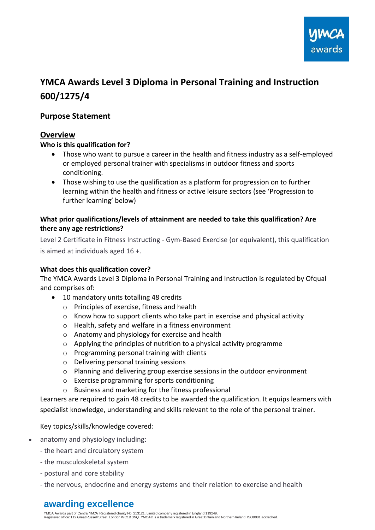

# **YMCA Awards Level 3 Diploma in Personal Training and Instruction 600/1275/4**

# **Purpose Statement**

### **Overview**

#### **Who is this qualification for?**

- Those who want to pursue a career in the health and fitness industry as a self-employed or employed personal trainer with specialisms in outdoor fitness and sports conditioning.
- Those wishing to use the qualification as a platform for progression on to further learning within the health and fitness or active leisure sectors (see 'Progression to further learning' below)

#### **What prior qualifications/levels of attainment are needed to take this qualification? Are there any age restrictions?**

Level 2 Certificate in Fitness Instructing - Gym-Based Exercise (or equivalent), this qualification is aimed at individuals aged 16 +.

#### **What does this qualification cover?**

The YMCA Awards Level 3 Diploma in Personal Training and Instruction is regulated by Ofqual and comprises of:

- 10 mandatory units totalling 48 credits
	- o Principles of exercise, fitness and health
	- $\circ$  Know how to support clients who take part in exercise and physical activity
	- o Health, safety and welfare in a fitness environment
	- o Anatomy and physiology for exercise and health
	- o Applying the principles of nutrition to a physical activity programme
	- o Programming personal training with clients
	- o Delivering personal training sessions
	- $\circ$  Planning and delivering group exercise sessions in the outdoor environment
	- o Exercise programming for sports conditioning
	- o Business and marketing for the fitness professional

Learners are required to gain 48 credits to be awarded the qualification. It equips learners with specialist knowledge, understanding and skills relevant to the role of the personal trainer.

#### Key topics/skills/knowledge covered:

- anatomy and physiology including:
	- the heart and circulatory system
	- the musculoskeletal system
	- postural and core stability
	- the nervous, endocrine and energy systems and their relation to exercise and health

# **awarding excellence**